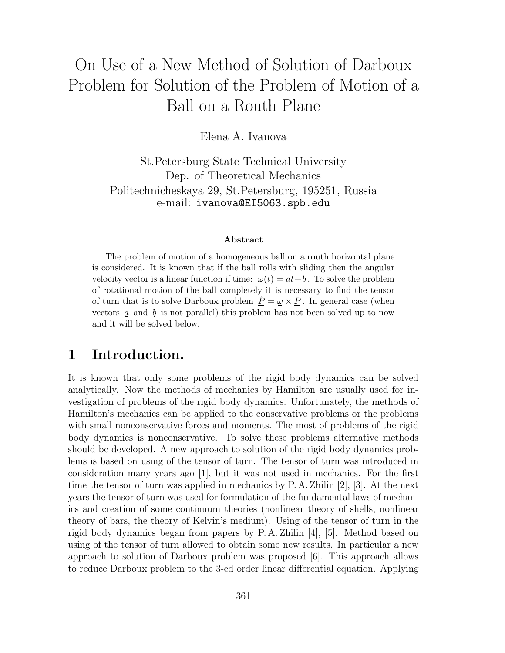# On Use of a New Method of Solution of Darboux Problem for Solution of the Problem of Motion of a Ball on a Routh Plane

Elena A. Ivanova

St.Petersburg State Technical University Dep. of Theoretical Mechanics Politechnicheskaya 29, St.Petersburg, 195251, Russia e-mail: ivanova@EI5063.spb.edu

#### **Abstract**

The problem of motion of a homogeneous ball on a routh horizontal plane is considered. It is known that if the ball rolls with sliding then the angular velocity vector is a linear function if time:  $\omega(t) = at + b$ . To solve the problem of rotational motion of the ball completely it is necessary to find the tensor of turn that is to solve Darboux problem  $\underline{P} = \underline{\omega} \times \underline{P}$ . In general case (when vectors  $a$  and  $b$  is not parallel) this problem has not been solved up to now and it will be solved below.

#### **1 Introduction.**

It is known that only some problems of the rigid body dynamics can be solved analytically. Now the methods of mechanics by Hamilton are usually used for investigation of problems of the rigid body dynamics. Unfortunately, the methods of Hamilton's mechanics can be applied to the conservative problems or the problems with small nonconservative forces and moments. The most of problems of the rigid body dynamics is nonconservative. To solve these problems alternative methods should be developed. A new approach to solution of the rigid body dynamics problems is based on using of the tensor of turn. The tensor of turn was introduced in consideration many years ago [1], but it was not used in mechanics. For the first time the tensor of turn was applied in mechanics by P. A. Zhilin [2], [3]. At the next years the tensor of turn was used for formulation of the fundamental laws of mechanics and creation of some continuum theories (nonlinear theory of shells, nonlinear theory of bars, the theory of Kelvin's medium). Using of the tensor of turn in the rigid body dynamics began from papers by P. A. Zhilin [4], [5]. Method based on using of the tensor of turn allowed to obtain some new results. In particular a new approach to solution of Darboux problem was proposed [6]. This approach allows to reduce Darboux problem to the 3-ed order linear differential equation. Applying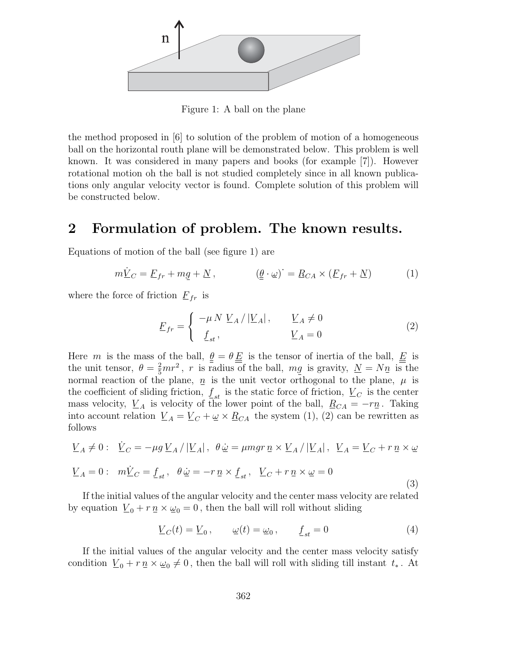

Figure 1: A ball on the plane

the method proposed in [6] to solution of the problem of motion of a homogeneous ball on the horizontal routh plane will be demonstrated below. This problem is well known. It was considered in many papers and books (for example [7]). However rotational motion oh the ball is not studied completely since in all known publications only angular velocity vector is found. Complete solution of this problem will be constructed below.

### **2 Formulation of problem. The known results.**

Equations of motion of the ball (see figure 1) are

$$
m\dot{\underline{V}}_C = \underline{F}_{fr} + m\underline{g} + \underline{N} , \qquad (\underline{\theta} \cdot \underline{\omega})^{\cdot} = \underline{R}_{CA} \times (\underline{F}_{fr} + \underline{N}) \qquad (1)
$$

where the force of friction  $F_{fr}$  is

$$
\underline{F}_{fr} = \begin{cases}\n-\mu N \underline{V}_A / |\underline{V}_A|, & \underline{V}_A \neq 0 \\
\underline{f}_{st}, & \underline{V}_A = 0\n\end{cases}
$$
\n(2)

Here m is the mass of the ball,  $\underline{\theta} = \theta \underline{E}$  is the tensor of inertia of the ball,  $\underline{E}$  is the unit tensor,  $\theta = \frac{2}{5}mr^2$ , r is radius of the ball,  $mg$  is gravity,  $N = Nn$  is the normal reaction of the plane,  $n_i$  is the unit vector orthogonal to the plane,  $\mu$  is the coefficient of sliding friction,  $f_{st}$  is the static force of friction,  $V_C$  is the center<br>mass velocity V, is velocity of the lower point of the ball  $R_{C,t} = -rn$  Taking mass velocity,  $V_A$  is velocity of the lower point of the ball,  $R_{CA} = -r\eta$ . Taking into account relation  $\underline{V}_A = \underline{V}_C + \underline{\omega} \times \underline{R}_{CA}$  the system (1), (2) can be rewritten as follows

$$
\underline{V}_A \neq 0: \quad \dot{\underline{V}}_C = -\mu g \underline{V}_A / |\underline{V}_A|, \quad \theta \dot{\underline{\omega}} = \mu mg r \, \underline{n} \times \underline{V}_A / |\underline{V}_A|, \quad \underline{V}_A = \underline{V}_C + r \, \underline{n} \times \underline{\omega}
$$
\n
$$
\underline{V}_A = 0: \quad m \dot{\underline{V}}_C = \underline{f}_{st}, \quad \theta \dot{\underline{\omega}} = -r \, \underline{n} \times \underline{f}_{st}, \quad \underline{V}_C + r \, \underline{n} \times \underline{\omega} = 0 \tag{3}
$$

If the initial values of the angular velocity and the center mass velocity are related by equation  $\underline{V}_0 + r \underline{n} \times \underline{\omega}_0 = 0$ , then the ball will roll without sliding

$$
\underline{V}_C(t) = \underline{V}_0, \qquad \underline{\omega}(t) = \underline{\omega}_0, \qquad \underline{f}_{st} = 0 \tag{4}
$$

If the initial values of the angular velocity and the center mass velocity satisfy condition  $\underline{V}_0 + r \underline{n} \times \underline{\omega}_0 \neq 0$ , then the ball will roll with sliding till instant  $t_*$ . At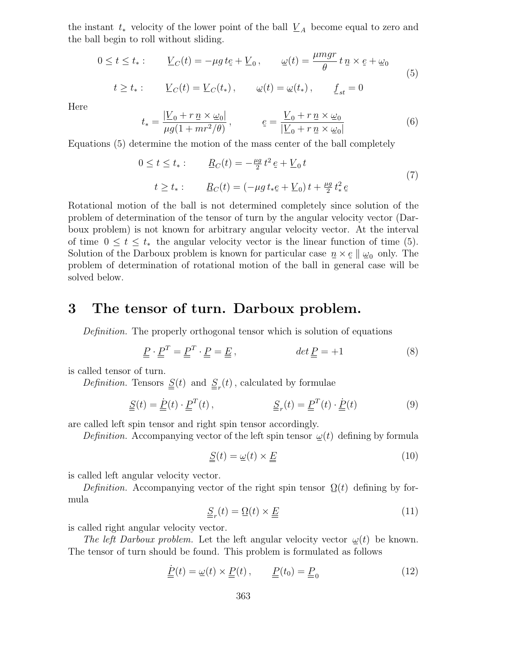the instant  $t_*$  velocity of the lower point of the ball  $\underline{V}_A$  become equal to zero and the ball begin to roll without sliding.

$$
0 \le t \le t_*: \qquad \underline{V}_C(t) = -\mu g \, t_{\mathcal{E}} + \underline{V}_0 \,, \qquad \underline{\omega}(t) = \frac{\mu mgr}{\theta} \, t \, \underline{n} \times \underline{e} + \underline{\omega}_0
$$
  
\n
$$
t \ge t_*: \qquad \underline{V}_C(t) = \underline{V}_C(t_*) \,, \qquad \underline{\omega}(t) = \underline{\omega}(t_*) \,, \qquad \underline{f}_{st} = 0
$$
\n
$$
(5)
$$

Here

$$
t_* = \frac{|V_0 + r \underline{n} \times \underline{\omega}_0|}{\mu g (1 + m r^2 / \theta)}, \qquad \underline{e} = \frac{V_0 + r \underline{n} \times \underline{\omega}_0}{|V_0 + r \underline{n} \times \underline{\omega}_0|}
$$
(6)

Equations (5) determine the motion of the mass center of the ball completely

$$
0 \le t \le t_*: \qquad \underline{R}_C(t) = -\frac{\mu g}{2} t^2 \, e + \underline{V}_0 \, t
$$
\n
$$
t \ge t_*: \qquad \underline{R}_C(t) = (-\mu g \, t_* \underline{e} + \underline{V}_0) \, t + \frac{\mu g}{2} \, t_*^2 \, e \tag{7}
$$

Rotational motion of the ball is not determined completely since solution of the problem of determination of the tensor of turn by the angular velocity vector (Darboux problem) is not known for arbitrary angular velocity vector. At the interval of time  $0 \le t \le t_*$  the angular velocity vector is the linear function of time (5). Solution of the Darboux problem is known for particular case  $n \times e \parallel \omega_0$  only. The problem of determination of rotational motion of the ball in general case will be solved below.

#### **3 The tensor of turn. Darboux problem.**

*Definition.* The properly orthogonal tensor which is solution of equations

$$
\underline{P} \cdot \underline{P}^T = \underline{P}^T \cdot \underline{P} = \underline{E} \,, \qquad \qquad \det \underline{P} = +1 \tag{8}
$$

is called tensor of turn.

*Definition.* Tensors  $\underline{\underline{S}}(t)$  and  $\underline{\underline{S}}_r(t)$ , calculated by formulae

$$
\underline{\underline{S}}(t) = \underline{\underline{P}}(t) \cdot \underline{\underline{P}}^T(t), \qquad \underline{\underline{S}}_r(t) = \underline{\underline{P}}^T(t) \cdot \underline{\underline{P}}(t)
$$
(9)

are called left spin tensor and right spin tensor accordingly.

*Definition.* Accompanying vector of the left spin tensor  $\omega(t)$  defining by formula

$$
\underline{\underline{S}}(t) = \underline{\omega}(t) \times \underline{\underline{E}} \tag{10}
$$

is called left angular velocity vector.

*Definition.* Accompanying vector of the right spin tensor  $\Omega(t)$  defining by formula

$$
\underline{\underline{S}}_r(t) = \underline{\Omega}(t) \times \underline{\underline{E}} \tag{11}
$$

is called right angular velocity vector.

*The left Darboux problem.* Let the left angular velocity vector  $\omega(t)$  be known. The tensor of turn should be found. This problem is formulated as follows

$$
\underline{\underline{P}}(t) = \underline{\omega}(t) \times \underline{\underline{P}}(t), \qquad \underline{\underline{P}}(t_0) = \underline{\underline{P}}_0 \tag{12}
$$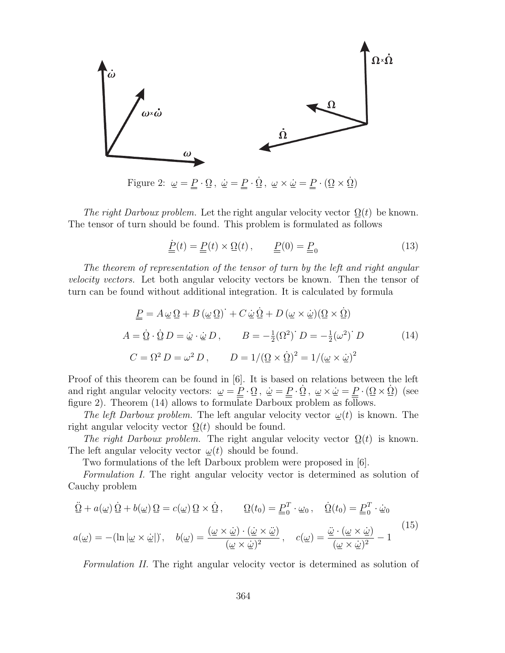

Figure 2:  $\omega = \underline{P} \cdot \Omega$ ,  $\dot{\omega} = \underline{P} \cdot \dot{\Omega}$ ,  $\omega \times \dot{\omega} = \underline{P} \cdot (\Omega \times \dot{\Omega})$ 

*The right Darboux problem.* Let the right angular velocity vector  $\Omega(t)$  be known. The tensor of turn should be found. This problem is formulated as follows

$$
\underline{\underline{P}}(t) = \underline{P}(t) \times \underline{\Omega}(t), \qquad \underline{P}(0) = \underline{P}_0 \tag{13}
$$

*The theorem of representation of the tensor of turn by the left and right angular velocity vectors.* Let both angular velocity vectors be known. Then the tensor of turn can be found without additional integration. It is calculated by formula

$$
\underline{P} = A \underline{\omega} \, \Omega + B (\underline{\omega} \, \Omega) + C \underline{\omega} \, \dot{\Omega} + D (\underline{\omega} \times \underline{\omega}) (\Omega \times \dot{\Omega})
$$
  

$$
A = \underline{\dot{\Omega}} \cdot \dot{\Omega} \, D = \underline{\omega} \cdot \underline{\omega} \, D, \qquad B = -\frac{1}{2} (\Omega^2) \, D = -\frac{1}{2} (\omega^2) \, D \tag{14}
$$
  

$$
C = \Omega^2 \, D = \omega^2 \, D, \qquad D = 1/(\Omega \times \dot{\Omega})^2 = 1/(\underline{\omega} \times \underline{\dot{\omega}})^2
$$

Proof of this theorem can be found in [6]. It is based on relations between the left and right angular velocity vectors:  $\omega = \underline{\underline{P}} \cdot \Omega$ ,  $\dot{\omega} = \underline{P} \cdot \dot{\Omega}$ ,  $\omega \times \dot{\omega} = \underline{P} \cdot (\Omega \times \dot{\Omega})$  (see figure 2). Theorem (14) allows to formulate Darboux problem as follows.

*The left Darboux problem.* The left angular velocity vector  $\omega(t)$  is known. The right angular velocity vector  $\Omega(t)$  should be found.

*The right Darboux problem.* The right angular velocity vector  $\Omega(t)$  is known. The left angular velocity vector  $\omega(t)$  should be found.

Two formulations of the left Darboux problem were proposed in [6].

*Formulation I.* The right angular velocity vector is determined as solution of Cauchy problem

$$
\underline{\ddot{\Omega}} + a(\underline{\omega}) \,\underline{\dot{\Omega}} + b(\underline{\omega}) \,\underline{\Omega} = c(\underline{\omega}) \,\underline{\Omega} \times \underline{\dot{\Omega}}, \qquad \underline{\Omega}(t_0) = \underline{P}_0^T \cdot \underline{\omega}_0, \quad \underline{\dot{\Omega}}(t_0) = \underline{P}_0^T \cdot \underline{\dot{\omega}}_0
$$
\n
$$
a(\underline{\omega}) = -(\ln |\underline{\omega} \times \underline{\dot{\omega}}|); \quad b(\underline{\omega}) = \frac{(\underline{\omega} \times \underline{\dot{\omega}}) \cdot (\underline{\dot{\omega}} \times \underline{\ddot{\omega}})}{(\underline{\omega} \times \underline{\dot{\omega}})^2}, \quad c(\underline{\omega}) = \frac{\underline{\ddot{\omega}} \cdot (\underline{\omega} \times \underline{\dot{\omega}})}{(\underline{\omega} \times \underline{\dot{\omega}})^2} - 1
$$
\n(15)

*Formulation II.* The right angular velocity vector is determined as solution of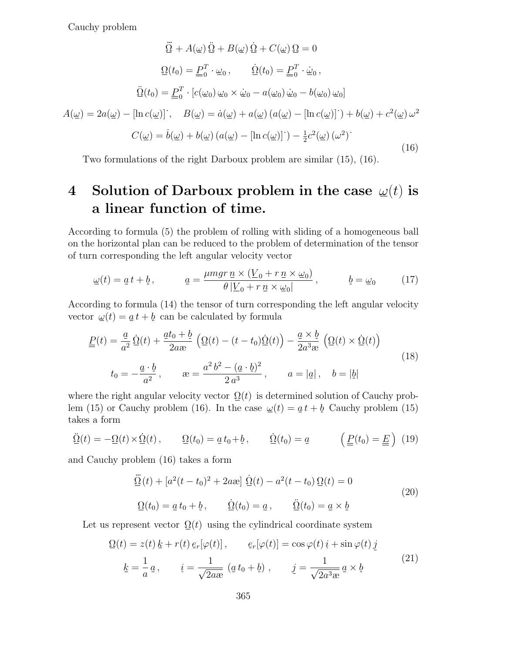Cauchy problem

$$
\underline{\ddot{\Omega}} + A(\underline{\omega}) \underline{\dot{\Omega}} + B(\underline{\omega}) \underline{\dot{\Omega}} + C(\underline{\omega}) \underline{\Omega} = 0
$$

$$
\underline{\Omega}(t_0) = \underline{P}_0^T \cdot \underline{\omega}_0, \qquad \underline{\dot{\Omega}}(t_0) = \underline{P}_0^T \cdot \underline{\dot{\omega}}_0,
$$

$$
\underline{\ddot{\Omega}}(t_0) = \underline{P}_0^T \cdot [c(\underline{\omega}_0) \underline{\omega}_0 \times \underline{\dot{\omega}}_0 - a(\underline{\omega}_0) \underline{\dot{\omega}}_0 - b(\underline{\omega}_0) \underline{\omega}_0]
$$

$$
A(\underline{\omega}) = 2a(\underline{\omega}) - [\ln c(\underline{\omega})]^{\cdot}, \qquad B(\underline{\omega}) = \dot{a}(\underline{\omega}) + a(\underline{\omega}) (a(\underline{\omega}) - [\ln c(\underline{\omega})]^{\cdot}) + b(\underline{\omega}) + c^2(\underline{\omega}) \underline{\omega}^2
$$

$$
C(\underline{\omega}) = \dot{b}(\underline{\omega}) + b(\underline{\omega}) (a(\underline{\omega}) - [\ln c(\underline{\omega})]^{\cdot}) - \frac{1}{2} c^2(\underline{\omega}) (\underline{\omega}^2)
$$
(16)

Two formulations of the right Darboux problem are similar (15), (16).

# **4** Solution of Darboux problem in the case  $\omega(t)$  is **a linear function of time.**

According to formula (5) the problem of rolling with sliding of a homogeneous ball on the horizontal plan can be reduced to the problem of determination of the tensor of turn corresponding the left angular velocity vector

$$
\underline{\omega}(t) = \underline{a}t + \underline{b}, \qquad \underline{a} = \frac{\mu mgr \,\underline{n} \times (\underline{V}_0 + r \,\underline{n} \times \underline{\omega}_0)}{\theta \, |\underline{V}_0 + r \,\underline{n} \times \underline{\omega}_0|}, \qquad \underline{b} = \underline{\omega}_0 \tag{17}
$$

According to formula (14) the tensor of turn corresponding the left angular velocity vector  $\omega(t) = a t + b$  can be calculated by formula

$$
\underline{\underline{P}}(t) = \frac{\underline{a}}{a^2} \underline{\dot{\Omega}}(t) + \frac{\underline{a}t_0 + \underline{b}}{2a\mathfrak{B}} \left( \underline{\Omega}(t) - (t - t_0)\underline{\dot{\Omega}}(t) \right) - \frac{\underline{a} \times \underline{b}}{2a^3 \mathfrak{B}} \left( \underline{\Omega}(t) \times \underline{\dot{\Omega}}(t) \right)
$$
  
\n
$$
t_0 = -\frac{\underline{a} \cdot \underline{b}}{a^2}, \qquad \mathfrak{B} = \frac{a^2 b^2 - (\underline{a} \cdot \underline{b})^2}{2 a^3}, \qquad a = |\underline{a}|, \quad b = |\underline{b}|
$$
\n(18)

where the right angular velocity vector  $\Omega(t)$  is determined solution of Cauchy problem (15) or Cauchy problem (16). In the case  $\omega(t) = a t + b$  Cauchy problem (15) takes a form

$$
\underline{\ddot{\Omega}}(t) = -\underline{\Omega}(t) \times \underline{\dot{\Omega}}(t), \qquad \underline{\Omega}(t_0) = \underline{a} t_0 + \underline{b}, \qquad \underline{\dot{\Omega}}(t_0) = \underline{a} \qquad \left(\underline{P}(t_0) = \underline{E}\right) \tag{19}
$$

and Cauchy problem (16) takes a form

$$
\underline{\ddot{\Omega}}(t) + [a^2(t - t_0)^2 + 2a\omega] \underline{\dot{\Omega}}(t) - a^2(t - t_0) \underline{\Omega}(t) = 0
$$
  

$$
\underline{\Omega}(t_0) = \underline{a} t_0 + \underline{b}, \qquad \underline{\dot{\Omega}}(t_0) = \underline{a}, \qquad \underline{\ddot{\Omega}}(t_0) = \underline{a} \times \underline{b}
$$
 (20)

Let us represent vector  $\Omega(t)$  using the cylindrical coordinate system

$$
\underline{\Omega}(t) = z(t) \underline{k} + r(t) \underline{e}_r[\varphi(t)], \qquad \underline{e}_r[\varphi(t)] = \cos \varphi(t) \underline{i} + \sin \varphi(t) \underline{j}
$$
\n
$$
\underline{k} = \frac{1}{a} \underline{a}, \qquad \underline{i} = \frac{1}{\sqrt{2a \omega}} (\underline{a} t_0 + \underline{b}), \qquad \underline{j} = \frac{1}{\sqrt{2a^3 \omega}} \underline{a} \times \underline{b}
$$
\n(21)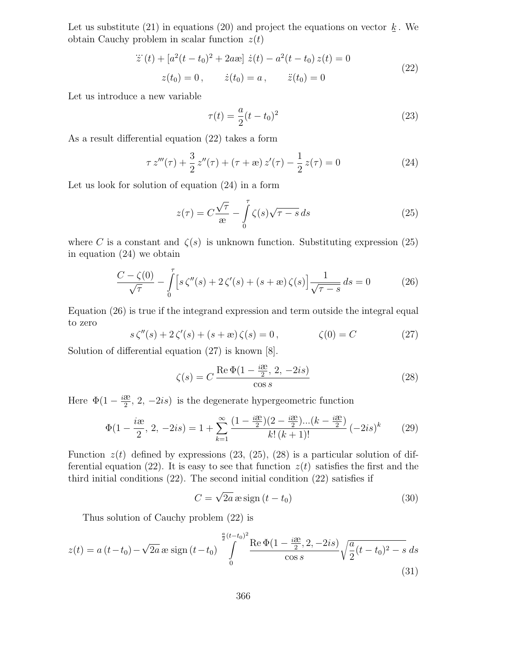Let us substitute (21) in equations (20) and project the equations on vector  $\underline{k}$ . We obtain Cauchy problem in scalar function  $z(t)$ 

$$
\ddot{z}(t) + [a^2(t - t_0)^2 + 2a\omega] \dot{z}(t) - a^2(t - t_0) z(t) = 0
$$
  
\n
$$
z(t_0) = 0, \qquad \dot{z}(t_0) = a, \qquad \ddot{z}(t_0) = 0
$$
\n(22)

Let us introduce a new variable

$$
\tau(t) = \frac{a}{2}(t - t_0)^2
$$
\n(23)

As a result differential equation (22) takes a form

$$
\tau z'''(\tau) + \frac{3}{2} z''(\tau) + (\tau + \infty) z'(\tau) - \frac{1}{2} z(\tau) = 0
$$
 (24)

Let us look for solution of equation (24) in a form

$$
z(\tau) = C \frac{\sqrt{\tau}}{x} - \int_{0}^{\tau} \zeta(s) \sqrt{\tau - s} ds \tag{25}
$$

where C is a constant and  $\zeta(s)$  is unknown function. Substituting expression (25) in equation (24) we obtain

$$
\frac{C - \zeta(0)}{\sqrt{\tau}} - \int_{0}^{\tau} \left[ s \zeta''(s) + 2 \zeta'(s) + (s + \mathbf{R}) \zeta(s) \right] \frac{1}{\sqrt{\tau - s}} ds = 0 \tag{26}
$$

Equation (26) is true if the integrand expression and term outside the integral equal to zero

$$
s\zeta''(s) + 2\zeta'(s) + (s + \mathbf{e})\zeta(s) = 0, \qquad \zeta(0) = C \tag{27}
$$

Solution of differential equation (27) is known [8].

$$
\zeta(s) = C \frac{\text{Re}\,\Phi(1 - \frac{i\omega}{2}, 2, -2is)}{\cos s} \tag{28}
$$

Here  $\Phi(1 - \frac{i\mathfrak{E}}{2}, 2, -2is)$  is the degenerate hypergeometric function

$$
\Phi(1 - \frac{i\mathfrak{E}}{2}, 2, -2is) = 1 + \sum_{k=1}^{\infty} \frac{\left(1 - \frac{i\mathfrak{E}}{2}\right)\left(2 - \frac{i\mathfrak{E}}{2}\right)\dots\left(k - \frac{i\mathfrak{E}}{2}\right)}{k!\left(k + 1\right)!} \left(-2is\right)^k \tag{29}
$$

Function  $z(t)$  defined by expressions (23, (25), (28) is a particular solution of differential equation (22). It is easy to see that function  $z(t)$  satisfies the first and the third initial conditions (22). The second initial condition (22) satisfies if

$$
C = \sqrt{2a} \operatorname{as} \operatorname{sign} (t - t_0)
$$
\n(30)

Thus solution of Cauchy problem (22) is

$$
z(t) = a(t - t_0) - \sqrt{2a} \exp\left(t - t_0\right) \int\limits_{0}^{\frac{a}{2}(t - t_0)^2} \frac{\operatorname{Re}\Phi(1 - \frac{i\mathfrak{B}}{2}, 2, -2is)}{\cos s} \sqrt{\frac{a}{2}(t - t_0)^2 - s} ds \tag{31}
$$